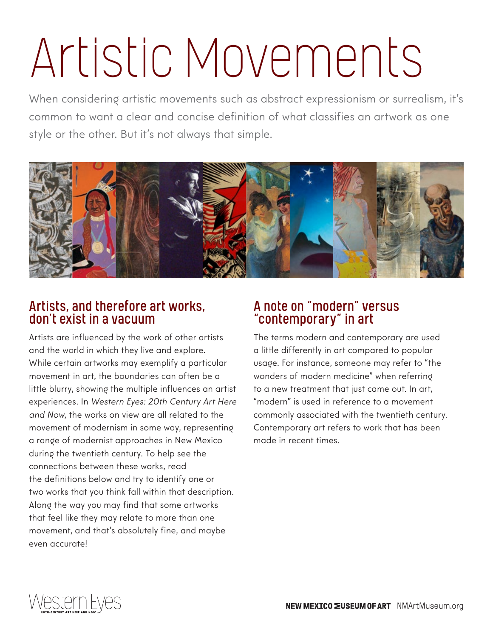When considering artistic movements such as abstract expressionism or surrealism, it's common to want a clear and concise definition of what classifies an artwork as one style or the other. But it's not always that simple.



#### Artists, and therefore art works, don't exist in a vacuum

Artists are influenced by the work of other artists and the world in which they live and explore. While certain artworks may exemplify a particular movement in art, the boundaries can often be a little blurry, showing the multiple influences an artist experiences. In Western Eyes: 20th Century Art Here and Now, the works on view are all related to the movement of modernism in some way, representing a range of modernist approaches in New Mexico during the twentieth century. To help see the connections between these works, read the definitions below and try to identify one or two works that you think fall within that description. Along the way you may find that some artworks that feel like they may relate to more than one movement, and that's absolutely fine, and maybe even accurate!

#### A note on "modern" versus "contemporary" in art

The terms modern and contemporary are used a little differently in art compared to popular usage. For instance, someone may refer to "the wonders of modern medicine" when referring to a new treatment that just came out. In art, "modern" is used in reference to a movement commonly associated with the twentieth century. Contemporary art refers to work that has been made in recent times.

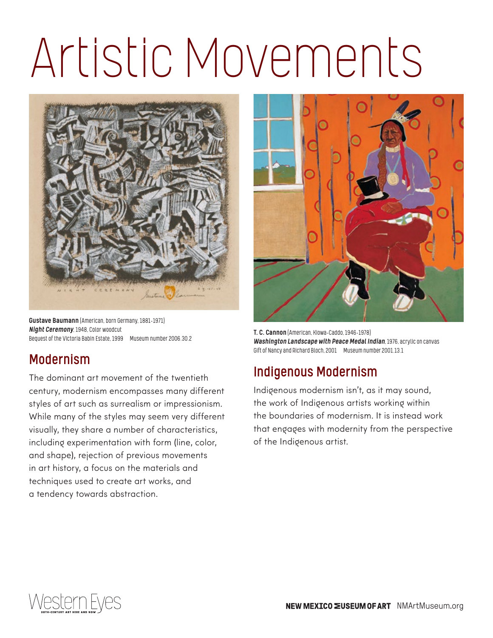

Gustave Baumann (American, born Germany, 1881–1971) *Night Ceremony*, 1948, Color woodcut Bequest of the Victoria Babin Estate, 1999 Museum number 2006.30.2

### Modernism

The dominant art movement of the twentieth century, modernism encompasses many different styles of art such as surrealism or impressionism. While many of the styles may seem very different visually, they share a number of characteristics, including experimentation with form (line, color, and shape), rejection of previous movements in art history, a focus on the materials and techniques used to create art works, and a tendency towards abstraction.



T. C. Cannon (American, Kiowa-Caddo, 1946–1978) *Washington Landscape with Peace Medal Indian*, 1976, acrylic on canvas Gift of Nancy and Richard Bloch, 2001 Museum number 2001.13.1

### Indigenous Modernism

Indigenous modernism isn't, as it may sound, the work of Indigenous artists working within the boundaries of modernism. It is instead work that engages with modernity from the perspective of the Indigenous artist.

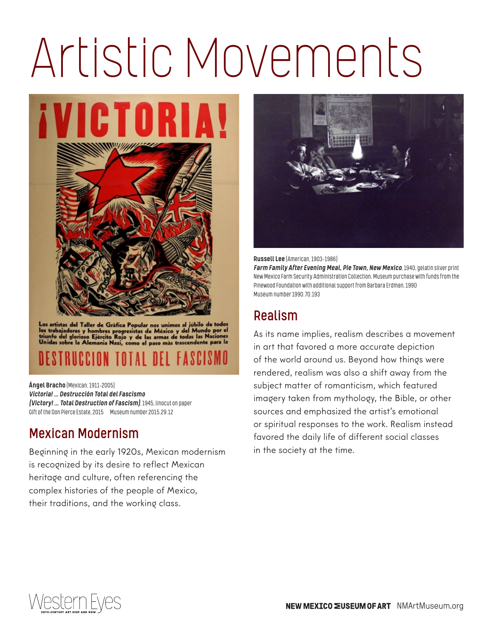*i* VICTORIA!



Los artistas del Taller de Gráfica Popular nos unimos al júbilo de todos<br>los trabajadores y hombres progresistas de México y del Mundo por el<br>triunfo del glorioso Ejército Rojo y de las armas de todas las Naciones<br>Unidas s

Ángel Bracho (Mexican, 1911–2005) *Victoria!…Destrucción Total del Fascismo (Victory!…Total Destruction of Fascism)*, 1945, linocut on paper Gift of the Don Pierce Estate, 2015 Museum number 2015.29.12

### Mexican Modernism

Beginning in the early 1920s, Mexican modernism is recognized by its desire to reflect Mexican heritage and culture, often referencing the complex histories of the people of Mexico, their traditions, and the working class.



Russell Lee (American, 1903–1986) *Farm Family After Evening Meal, Pie Town, New Mexico*, 1940, gelatin silver print New Mexico Farm Security Administration Collection, Museum purchase with funds from the Pinewood Foundation with additional support from Barbara Erdman, 1990 Museum number 1990.70.193

### Realism

As its name implies, realism describes a movement in art that favored a more accurate depiction of the world around us. Beyond how things were rendered, realism was also a shift away from the subject matter of romanticism, which featured imagery taken from mythology, the Bible, or other sources and emphasized the artist's emotional or spiritual responses to the work. Realism instead favored the daily life of different social classes in the society at the time.

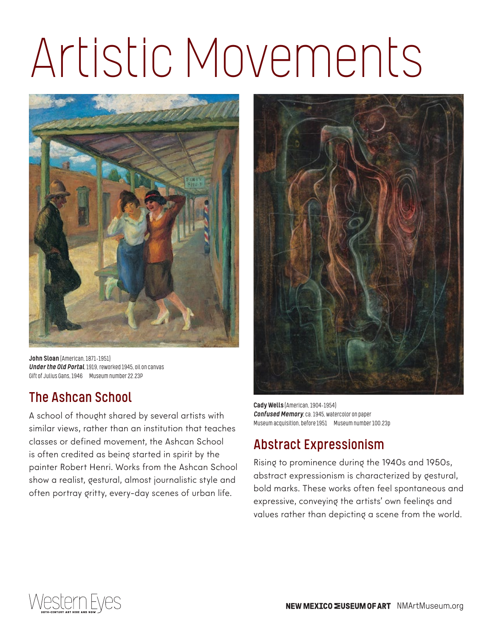

John Sloan (American, 1871-1951) *Under the Old Portal*, 1919, reworked 1945, oil on canvas Gift of Julius Gans, 1946 Museum number 22.23P

#### The Ashcan School

A school of thought shared by several artists with similar views, rather than an institution that teaches classes or defined movement, the Ashcan School is often credited as being started in spirit by the painter Robert Henri. Works from the Ashcan School show a realist, gestural, almost journalistic style and often portray gritty, every-day scenes of urban life.



Cady Wells (American, 1904–1954) *Confused Memory*, ca. 1945, watercolor on paper Museum acquisition, before 1951 Museum number 100.23p

#### Abstract Expressionism

Rising to prominence during the 1940s and 1950s, abstract expressionism is characterized by gestural, bold marks. These works often feel spontaneous and expressive, conveying the artists' own feelings and values rather than depicting a scene from the world.

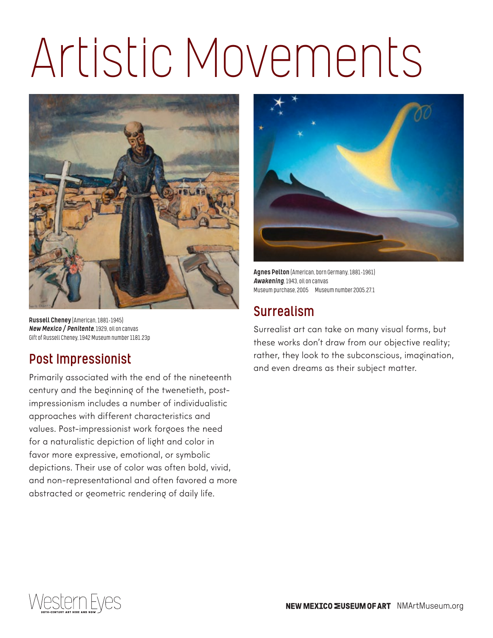

Russell Cheney (American, 1881–1945) *New Mexico / Penitente*, 1929, oil on canvas Gift of Russell Cheney, 1942 Museum number 1181.23p

### Post Impressionist

Primarily associated with the end of the nineteenth century and the beginning of the twenetieth, postimpressionism includes a number of individualistic approaches with different characteristics and values. Post-impressionist work forgoes the need for a naturalistic depiction of light and color in favor more expressive, emotional, or symbolic depictions. Their use of color was often bold, vivid, and non-representational and often favored a more abstracted or geometric rendering of daily life.



Agnes Pelton (American, born Germany, 1881–1961) *Awakening*, 1943, oil on canvas Museum purchase, 2005 Museum number 2005.27.1

#### Surrealism

Surrealist art can take on many visual forms, but these works don't draw from our objective reality; rather, they look to the subconscious, imagination, and even dreams as their subject matter.